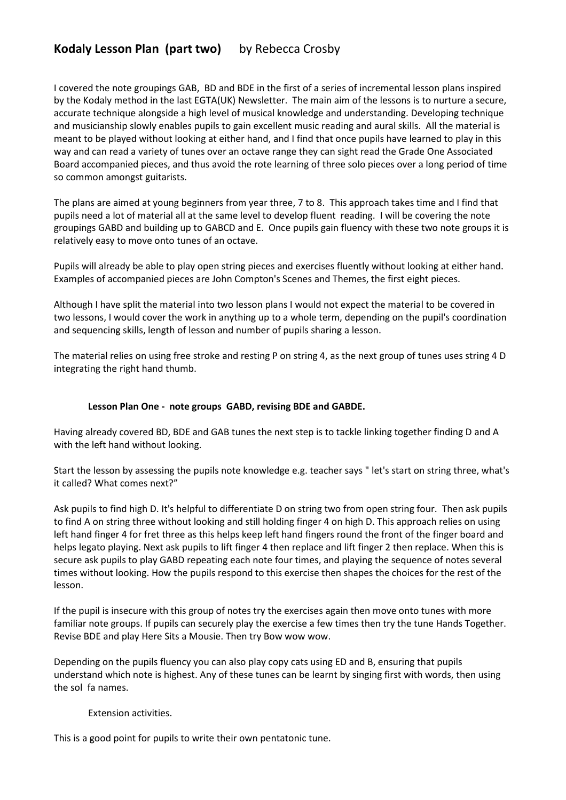## **Kodaly Lesson Plan (part two)** by Rebecca Crosby

I covered the note groupings GAB, BD and BDE in the first of a series of incremental lesson plans inspired by the Kodaly method in the last EGTA(UK) Newsletter. The main aim of the lessons is to nurture a secure, accurate technique alongside a high level of musical knowledge and understanding. Developing technique and musicianship slowly enables pupils to gain excellent music reading and aural skills. All the material is meant to be played without looking at either hand, and I find that once pupils have learned to play in this way and can read a variety of tunes over an octave range they can sight read the Grade One Associated Board accompanied pieces, and thus avoid the rote learning of three solo pieces over a long period of time so common amongst guitarists.

The plans are aimed at young beginners from year three, 7 to 8. This approach takes time and I find that pupils need a lot of material all at the same level to develop fluent reading. I will be covering the note groupings GABD and building up to GABCD and E. Once pupils gain fluency with these two note groups it is relatively easy to move onto tunes of an octave.

Pupils will already be able to play open string pieces and exercises fluently without looking at either hand. Examples of accompanied pieces are John Compton's Scenes and Themes, the first eight pieces.

Although I have split the material into two lesson plans I would not expect the material to be covered in two lessons, I would cover the work in anything up to a whole term, depending on the pupil's coordination and sequencing skills, length of lesson and number of pupils sharing a lesson.

The material relies on using free stroke and resting P on string 4, as the next group of tunes uses string 4 D integrating the right hand thumb.

## **Lesson Plan One - note groups GABD, revising BDE and GABDE.**

Having already covered BD, BDE and GAB tunes the next step is to tackle linking together finding D and A with the left hand without looking.

Start the lesson by assessing the pupils note knowledge e.g. teacher says " let's start on string three, what's it called? What comes next?"

Ask pupils to find high D. It's helpful to differentiate D on string two from open string four. Then ask pupils to find A on string three without looking and still holding finger 4 on high D. This approach relies on using left hand finger 4 for fret three as this helps keep left hand fingers round the front of the finger board and helps legato playing. Next ask pupils to lift finger 4 then replace and lift finger 2 then replace. When this is secure ask pupils to play GABD repeating each note four times, and playing the sequence of notes several times without looking. How the pupils respond to this exercise then shapes the choices for the rest of the lesson.

If the pupil is insecure with this group of notes try the exercises again then move onto tunes with more familiar note groups. If pupils can securely play the exercise a few times then try the tune Hands Together. Revise BDE and play Here Sits a Mousie. Then try Bow wow wow.

Depending on the pupils fluency you can also play copy cats using ED and B, ensuring that pupils understand which note is highest. Any of these tunes can be learnt by singing first with words, then using the sol fa names.

## Extension activities.

This is a good point for pupils to write their own pentatonic tune.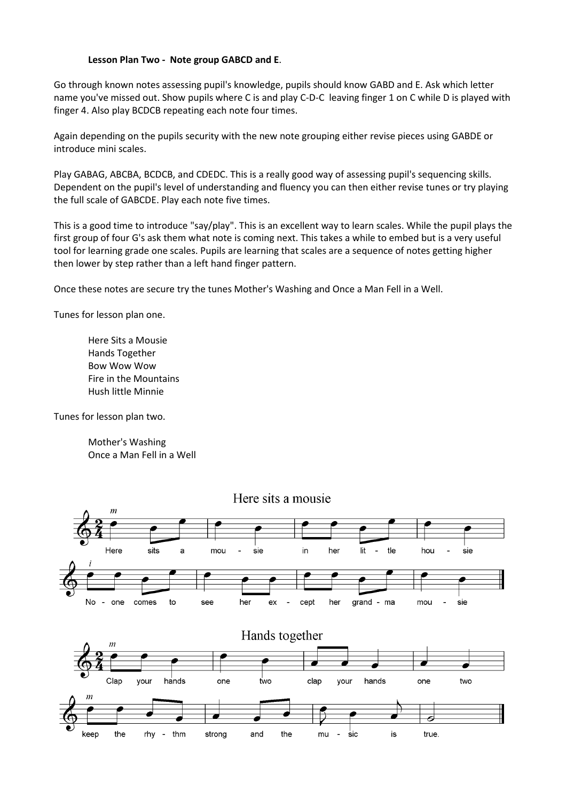## **Lesson Plan Two - Note group GABCD and E**.

Go through known notes assessing pupil's knowledge, pupils should know GABD and E. Ask which letter name you've missed out. Show pupils where C is and play C-D-C leaving finger 1 on C while D is played with finger 4. Also play BCDCB repeating each note four times.

Again depending on the pupils security with the new note grouping either revise pieces using GABDE or introduce mini scales.

Play GABAG, ABCBA, BCDCB, and CDEDC. This is a really good way of assessing pupil's sequencing skills. Dependent on the pupil's level of understanding and fluency you can then either revise tunes or try playing the full scale of GABCDE. Play each note five times.

This is a good time to introduce "say/play". This is an excellent way to learn scales. While the pupil plays the first group of four G's ask them what note is coming next. This takes a while to embed but is a very useful tool for learning grade one scales. Pupils are learning that scales are a sequence of notes getting higher then lower by step rather than a left hand finger pattern.

Once these notes are secure try the tunes Mother's Washing and Once a Man Fell in a Well.

Tunes for lesson plan one.

Here Sits a Mousie Hands Together Bow Wow Wow Fire in the Mountains Hush little Minnie

Tunes for lesson plan two.

Mother's Washing Once a Man Fell in a Well



Here sits a mousie